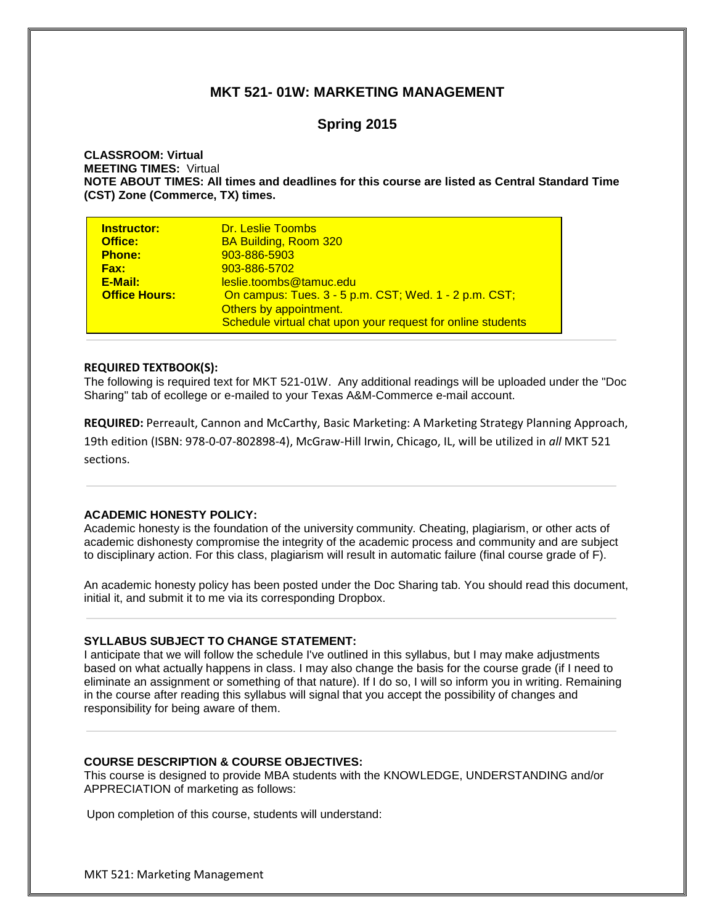# **MKT 521- 01W: MARKETING MANAGEMENT**

# **Spring 2015**

# **CLASSROOM: Virtual MEETING TIMES:** Virtual **NOTE ABOUT TIMES: All times and deadlines for this course are listed as Central Standard Time (CST) Zone (Commerce, TX) times.**

| <b>Instructor:</b>   | <b>Dr. Leslie Toombs</b>                                    |
|----------------------|-------------------------------------------------------------|
| Office:              | <b>BA Building, Room 320</b>                                |
| <b>Phone:</b>        | 903-886-5903                                                |
| <b>Fax:</b>          | 903-886-5702                                                |
| E-Mail:              | leslie.toombs@tamuc.edu                                     |
| <b>Office Hours:</b> | On campus: Tues. 3 - 5 p.m. CST; Wed. 1 - 2 p.m. CST;       |
|                      | Others by appointment.                                      |
|                      | Schedule virtual chat upon your request for online students |

## **REQUIRED TEXTBOOK(S):**

The following is required text for MKT 521-01W. Any additional readings will be uploaded under the "Doc Sharing" tab of ecollege or e-mailed to your Texas A&M-Commerce e-mail account.

**REQUIRED:** Perreault, Cannon and McCarthy, Basic Marketing: A Marketing Strategy Planning Approach, 19th edition (ISBN: 978-0-07-802898-4), McGraw-Hill Irwin, Chicago, IL, will be utilized in *all* MKT 521

sections.

#### **ACADEMIC HONESTY POLICY:**

Academic honesty is the foundation of the university community. Cheating, plagiarism, or other acts of academic dishonesty compromise the integrity of the academic process and community and are subject to disciplinary action. For this class, plagiarism will result in automatic failure (final course grade of F).

An academic honesty policy has been posted under the Doc Sharing tab. You should read this document, initial it, and submit it to me via its corresponding Dropbox.

# **SYLLABUS SUBJECT TO CHANGE STATEMENT:**

I anticipate that we will follow the schedule I've outlined in this syllabus, but I may make adjustments based on what actually happens in class. I may also change the basis for the course grade (if I need to eliminate an assignment or something of that nature). If I do so, I will so inform you in writing. Remaining in the course after reading this syllabus will signal that you accept the possibility of changes and responsibility for being aware of them.

#### **COURSE DESCRIPTION & COURSE OBJECTIVES:**

This course is designed to provide MBA students with the KNOWLEDGE, UNDERSTANDING and/or APPRECIATION of marketing as follows:

Upon completion of this course, students will understand: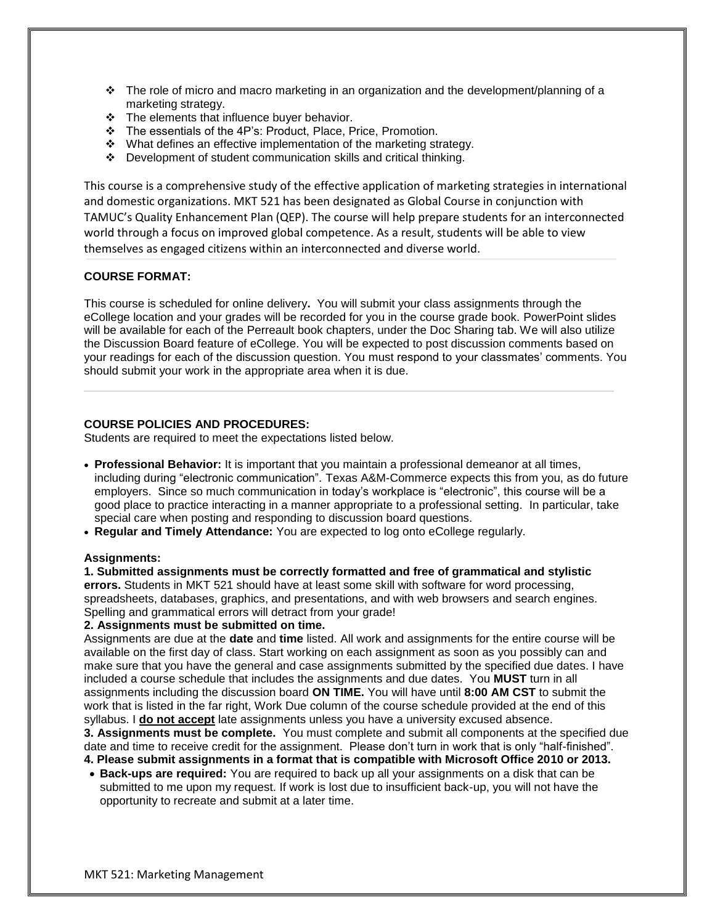- The role of micro and macro marketing in an organization and the development/planning of a marketing strategy.
- $\div$  The elements that influence buyer behavior.
- \* The essentials of the 4P's: Product, Place, Price, Promotion.
- $\div$  What defines an effective implementation of the marketing strategy.
- Development of student communication skills and critical thinking.

This course is a comprehensive study of the effective application of marketing strategies in international and domestic organizations. MKT 521 has been designated as Global Course in conjunction with TAMUC's Quality Enhancement Plan (QEP). The course will help prepare students for an interconnected world through a focus on improved global competence. As a result, students will be able to view themselves as engaged citizens within an interconnected and diverse world.

# **COURSE FORMAT:**

This course is scheduled for online delivery**.** You will submit your class assignments through the eCollege location and your grades will be recorded for you in the course grade book. PowerPoint slides will be available for each of the Perreault book chapters, under the Doc Sharing tab. We will also utilize the Discussion Board feature of eCollege. You will be expected to post discussion comments based on your readings for each of the discussion question. You must respond to your classmates' comments. You should submit your work in the appropriate area when it is due.

# **COURSE POLICIES AND PROCEDURES:**

Students are required to meet the expectations listed below.

- **Professional Behavior:** It is important that you maintain a professional demeanor at all times, including during "electronic communication". Texas A&M-Commerce expects this from you, as do future employers. Since so much communication in today's workplace is "electronic", this course will be a good place to practice interacting in a manner appropriate to a professional setting. In particular, take special care when posting and responding to discussion board questions.
- **Regular and Timely Attendance:** You are expected to log onto eCollege regularly.

#### **Assignments:**

**1. Submitted assignments must be correctly formatted and free of grammatical and stylistic errors.** Students in MKT 521 should have at least some skill with software for word processing, spreadsheets, databases, graphics, and presentations, and with web browsers and search engines. Spelling and grammatical errors will detract from your grade!

### **2. Assignments must be submitted on time.**

Assignments are due at the **date** and **time** listed. All work and assignments for the entire course will be available on the first day of class. Start working on each assignment as soon as you possibly can and make sure that you have the general and case assignments submitted by the specified due dates. I have included a course schedule that includes the assignments and due dates. You **MUST** turn in all assignments including the discussion board **ON TIME.** You will have until **8:00 AM CST** to submit the work that is listed in the far right, Work Due column of the course schedule provided at the end of this syllabus. I **do not accept** late assignments unless you have a university excused absence. **3. Assignments must be complete.** You must complete and submit all components at the specified due date and time to receive credit for the assignment. Please don't turn in work that is only "half-finished".

**4. Please submit assignments in a format that is compatible with Microsoft Office 2010 or 2013.**

 **Back-ups are required:** You are required to back up all your assignments on a disk that can be submitted to me upon my request. If work is lost due to insufficient back-up, you will not have the opportunity to recreate and submit at a later time.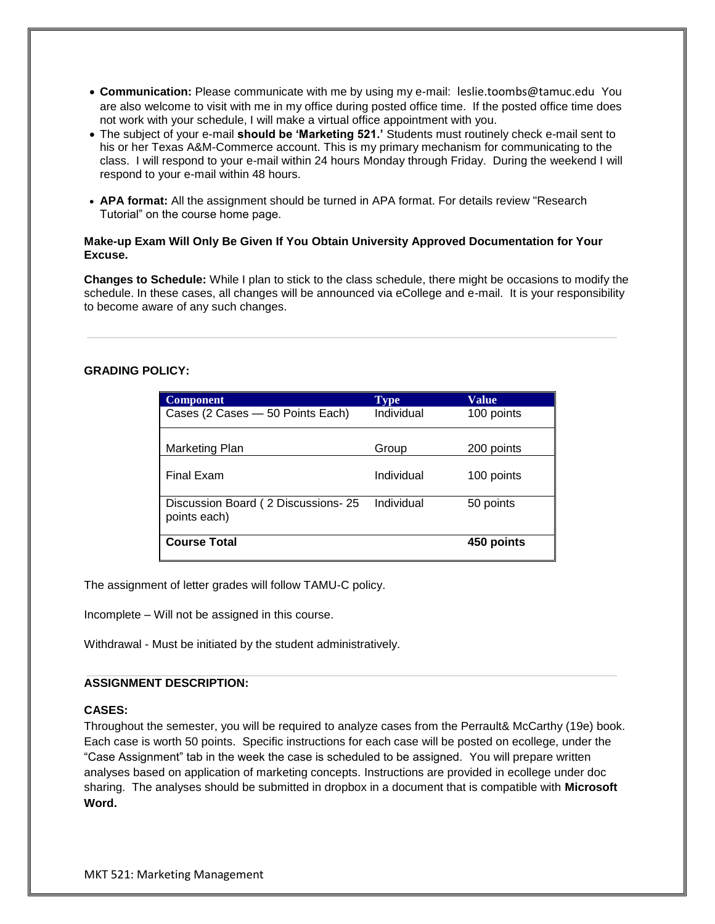- **Communication:** Please communicate with me by using my e-mail: leslie.toombs@tamuc.edu You are also welcome to visit with me in my office during posted office time. If the posted office time does not work with your schedule, I will make a virtual office appointment with you.
- The subject of your e-mail **should be 'Marketing 521.'** Students must routinely check e-mail sent to his or her Texas A&M-Commerce account. This is my primary mechanism for communicating to the class. I will respond to your e-mail within 24 hours Monday through Friday. During the weekend I will respond to your e-mail within 48 hours.
- **APA format:** All the assignment should be turned in APA format. For details review "Research Tutorial" on the course home page.

# **Make-up Exam Will Only Be Given If You Obtain University Approved Documentation for Your Excuse.**

**Changes to Schedule:** While I plan to stick to the class schedule, there might be occasions to modify the schedule. In these cases, all changes will be announced via eCollege and e-mail. It is your responsibility to become aware of any such changes.

# **GRADING POLICY:**

| <b>Component</b>                                   | Type       | Value      |
|----------------------------------------------------|------------|------------|
| Cases (2 Cases - 50 Points Each)                   | Individual | 100 points |
|                                                    |            |            |
| Marketing Plan                                     | Group      | 200 points |
| <b>Final Exam</b>                                  | Individual | 100 points |
| Discussion Board (2 Discussions-25<br>points each) | Individual | 50 points  |
| <b>Course Total</b>                                |            | 450 points |

The assignment of letter grades will follow TAMU-C policy.

Incomplete – Will not be assigned in this course.

Withdrawal - Must be initiated by the student administratively.

#### **ASSIGNMENT DESCRIPTION:**

# **CASES:**

Throughout the semester, you will be required to analyze cases from the Perrault& McCarthy (19e) book. Each case is worth 50 points. Specific instructions for each case will be posted on ecollege, under the "Case Assignment" tab in the week the case is scheduled to be assigned. You will prepare written analyses based on application of marketing concepts. Instructions are provided in ecollege under doc sharing. The analyses should be submitted in dropbox in a document that is compatible with **Microsoft Word.**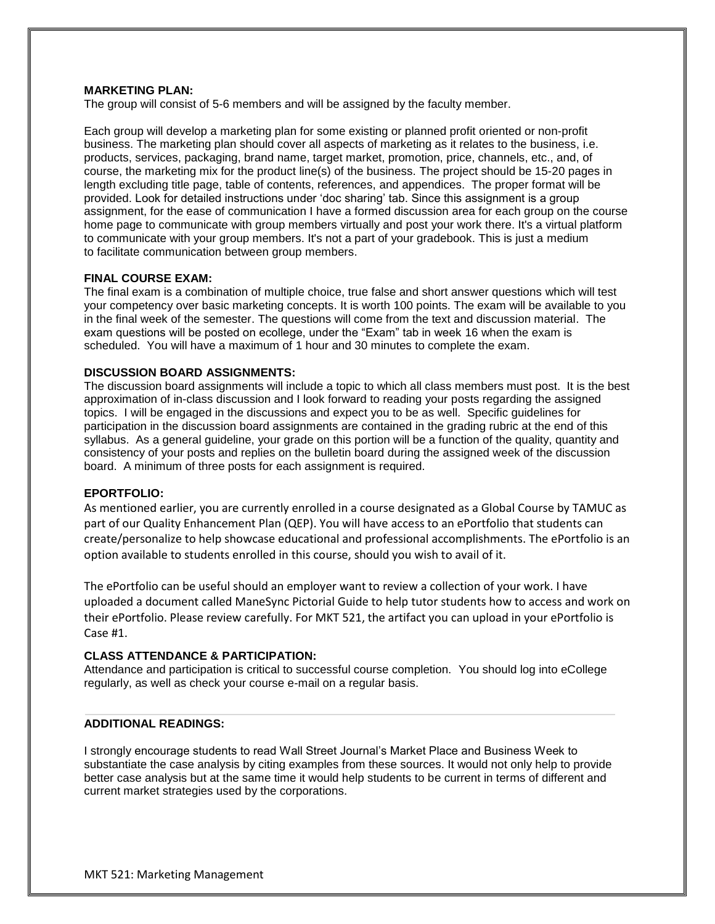#### **MARKETING PLAN:**

The group will consist of 5-6 members and will be assigned by the faculty member.

Each group will develop a marketing plan for some existing or planned profit oriented or non-profit business. The marketing plan should cover all aspects of marketing as it relates to the business, i.e. products, services, packaging, brand name, target market, promotion, price, channels, etc., and, of course, the marketing mix for the product line(s) of the business. The project should be 15-20 pages in length excluding title page, table of contents, references, and appendices. The proper format will be provided. Look for detailed instructions under 'doc sharing' tab. Since this assignment is a group assignment, for the ease of communication I have a formed discussion area for each group on the course home page to communicate with group members virtually and post your work there. It's a virtual platform to communicate with your group members. It's not a part of your gradebook. This is just a medium to facilitate communication between group members.

#### **FINAL COURSE EXAM:**

The final exam is a combination of multiple choice, true false and short answer questions which will test your competency over basic marketing concepts. It is worth 100 points. The exam will be available to you in the final week of the semester. The questions will come from the text and discussion material. The exam questions will be posted on ecollege, under the "Exam" tab in week 16 when the exam is scheduled. You will have a maximum of 1 hour and 30 minutes to complete the exam.

#### **DISCUSSION BOARD ASSIGNMENTS:**

The discussion board assignments will include a topic to which all class members must post. It is the best approximation of in-class discussion and I look forward to reading your posts regarding the assigned topics. I will be engaged in the discussions and expect you to be as well. Specific guidelines for participation in the discussion board assignments are contained in the grading rubric at the end of this syllabus. As a general guideline, your grade on this portion will be a function of the quality, quantity and consistency of your posts and replies on the bulletin board during the assigned week of the discussion board. A minimum of three posts for each assignment is required.

#### **EPORTFOLIO:**

As mentioned earlier, you are currently enrolled in a course designated as a Global Course by TAMUC as part of our Quality Enhancement Plan (QEP). You will have access to an ePortfolio that students can create/personalize to help showcase educational and professional accomplishments. The ePortfolio is an option available to students enrolled in this course, should you wish to avail of it.

The ePortfolio can be useful should an employer want to review a collection of your work. I have uploaded a document called ManeSync Pictorial Guide to help tutor students how to access and work on their ePortfolio. Please review carefully. For MKT 521, the artifact you can upload in your ePortfolio is Case #1.

#### **CLASS ATTENDANCE & PARTICIPATION:**

Attendance and participation is critical to successful course completion. You should log into eCollege regularly, as well as check your course e-mail on a regular basis.

#### **ADDITIONAL READINGS:**

I strongly encourage students to read Wall Street Journal's Market Place and Business Week to substantiate the case analysis by citing examples from these sources. It would not only help to provide better case analysis but at the same time it would help students to be current in terms of different and current market strategies used by the corporations.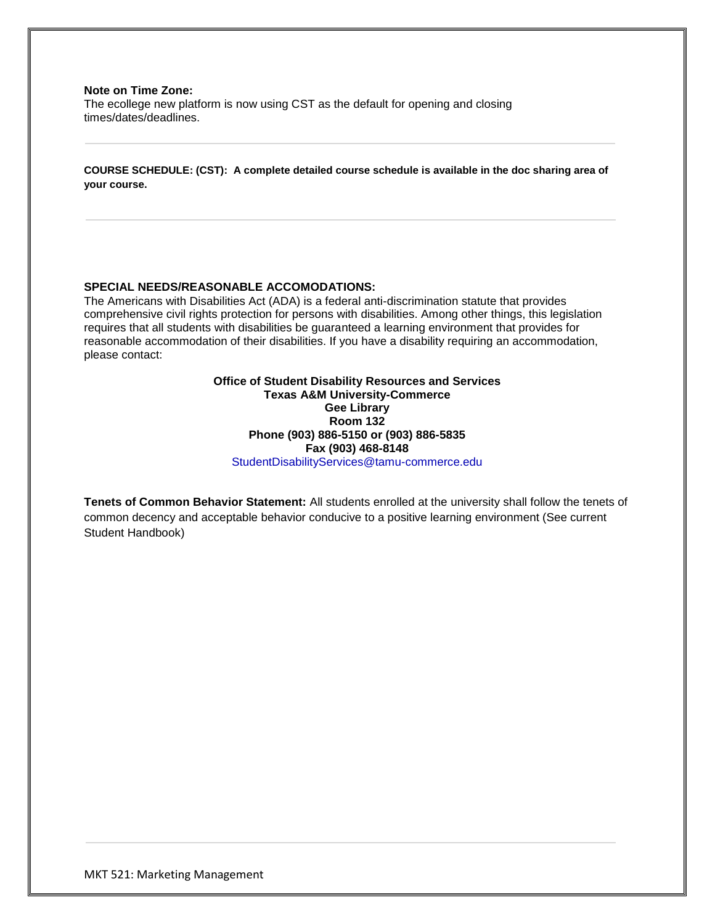#### **Note on Time Zone:**

The ecollege new platform is now using CST as the default for opening and closing times/dates/deadlines.

**COURSE SCHEDULE: (CST): A complete detailed course schedule is available in the doc sharing area of your course.**

#### **SPECIAL NEEDS/REASONABLE ACCOMODATIONS:**

The Americans with Disabilities Act (ADA) is a federal anti-discrimination statute that provides comprehensive civil rights protection for persons with disabilities. Among other things, this legislation requires that all students with disabilities be guaranteed a learning environment that provides for reasonable accommodation of their disabilities. If you have a disability requiring an accommodation, please contact:

> **Office of Student Disability Resources and Services Texas A&M University-Commerce Gee Library Room 132 Phone (903) 886-5150 or (903) 886-5835 Fax (903) 468-8148** [StudentDisabilityServices@tamu-commerce.edu](mailto:StudentDisabilityServices@tamu-commerce.edu)

**Tenets of Common Behavior Statement:** All students enrolled at the university shall follow the tenets of common decency and acceptable behavior conducive to a positive learning environment (See current Student Handbook)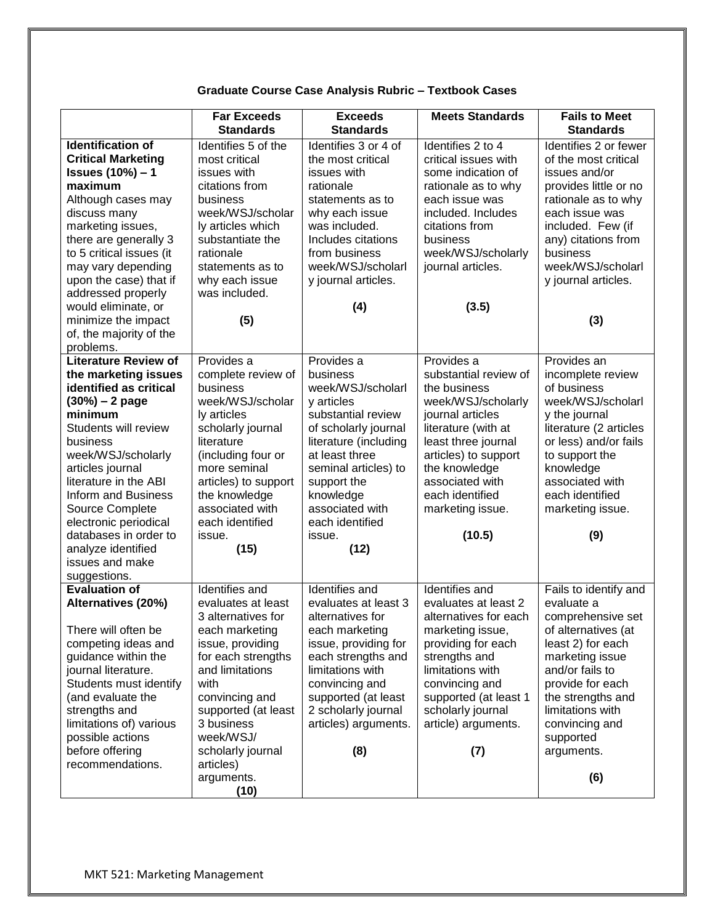# **Graduate Course Case Analysis Rubric – Textbook Cases**

|                                                                                                                                                                                                                                                                                                                                                                                       | <b>Far Exceeds</b><br><b>Standards</b>                                                                                                                                                                                                                                        | <b>Exceeds</b><br><b>Standards</b>                                                                                                                                                                                                                             | <b>Meets Standards</b>                                                                                                                                                                                                                                   | <b>Fails to Meet</b><br><b>Standards</b>                                                                                                                                                                                                                    |
|---------------------------------------------------------------------------------------------------------------------------------------------------------------------------------------------------------------------------------------------------------------------------------------------------------------------------------------------------------------------------------------|-------------------------------------------------------------------------------------------------------------------------------------------------------------------------------------------------------------------------------------------------------------------------------|----------------------------------------------------------------------------------------------------------------------------------------------------------------------------------------------------------------------------------------------------------------|----------------------------------------------------------------------------------------------------------------------------------------------------------------------------------------------------------------------------------------------------------|-------------------------------------------------------------------------------------------------------------------------------------------------------------------------------------------------------------------------------------------------------------|
| <b>Identification of</b><br><b>Critical Marketing</b><br><b>Issues (10%) - 1</b><br>maximum<br>Although cases may<br>discuss many<br>marketing issues,<br>there are generally 3<br>to 5 critical issues (it<br>may vary depending<br>upon the case) that if<br>addressed properly<br>would eliminate, or<br>minimize the impact<br>of, the majority of the                            | Identifies 5 of the<br>most critical<br>issues with<br>citations from<br>business<br>week/WSJ/scholar<br>ly articles which<br>substantiate the<br>rationale<br>statements as to<br>why each issue<br>was included.<br>(5)                                                     | Identifies 3 or 4 of<br>the most critical<br>issues with<br>rationale<br>statements as to<br>why each issue<br>was included.<br>Includes citations<br>from business<br>week/WSJ/scholarl<br>y journal articles.<br>(4)                                         | Identifies 2 to 4<br>critical issues with<br>some indication of<br>rationale as to why<br>each issue was<br>included. Includes<br>citations from<br>business<br>week/WSJ/scholarly<br>journal articles.<br>(3.5)                                         | Identifies 2 or fewer<br>of the most critical<br>issues and/or<br>provides little or no<br>rationale as to why<br>each issue was<br>included. Few (if<br>any) citations from<br>business<br>week/WSJ/scholarl<br>y journal articles.<br>(3)                 |
| problems.<br><b>Literature Review of</b><br>the marketing issues<br>identified as critical<br>$(30%) - 2 page$<br>minimum<br>Students will review<br>business<br>week/WSJ/scholarly<br>articles journal<br>literature in the ABI<br>Inform and Business<br>Source Complete<br>electronic periodical<br>databases in order to<br>analyze identified<br>issues and make<br>suggestions. | Provides a<br>complete review of<br>business<br>week/WSJ/scholar<br>ly articles<br>scholarly journal<br>literature<br>(including four or<br>more seminal<br>articles) to support<br>the knowledge<br>associated with<br>each identified<br>issue.<br>(15)                     | Provides a<br>business<br>week/WSJ/scholarl<br>y articles<br>substantial review<br>of scholarly journal<br>literature (including<br>at least three<br>seminal articles) to<br>support the<br>knowledge<br>associated with<br>each identified<br>issue.<br>(12) | Provides a<br>substantial review of<br>the business<br>week/WSJ/scholarly<br>journal articles<br>literature (with at<br>least three journal<br>articles) to support<br>the knowledge<br>associated with<br>each identified<br>marketing issue.<br>(10.5) | Provides an<br>incomplete review<br>of business<br>week/WSJ/scholarl<br>y the journal<br>literature (2 articles<br>or less) and/or fails<br>to support the<br>knowledge<br>associated with<br>each identified<br>marketing issue.<br>(9)                    |
| <b>Evaluation of</b><br>Alternatives (20%)<br>There will often be<br>competing ideas and<br>guidance within the<br>journal literature.<br>Students must identify<br>(and evaluate the<br>strengths and<br>limitations of) various<br>possible actions<br>before offering<br>recommendations.                                                                                          | Identifies and<br>evaluates at least<br>3 alternatives for<br>each marketing<br>issue, providing<br>for each strengths<br>and limitations<br>with<br>convincing and<br>supported (at least<br>3 business<br>week/WSJ/<br>scholarly journal<br>articles)<br>arguments.<br>(10) | Identifies and<br>evaluates at least 3<br>alternatives for<br>each marketing<br>issue, providing for<br>each strengths and<br>limitations with<br>convincing and<br>supported (at least<br>2 scholarly journal<br>articles) arguments.<br>(8)                  | Identifies and<br>evaluates at least 2<br>alternatives for each<br>marketing issue,<br>providing for each<br>strengths and<br>limitations with<br>convincing and<br>supported (at least 1<br>scholarly journal<br>article) arguments.<br>(7)             | Fails to identify and<br>evaluate a<br>comprehensive set<br>of alternatives (at<br>least 2) for each<br>marketing issue<br>and/or fails to<br>provide for each<br>the strengths and<br>limitations with<br>convincing and<br>supported<br>arguments.<br>(6) |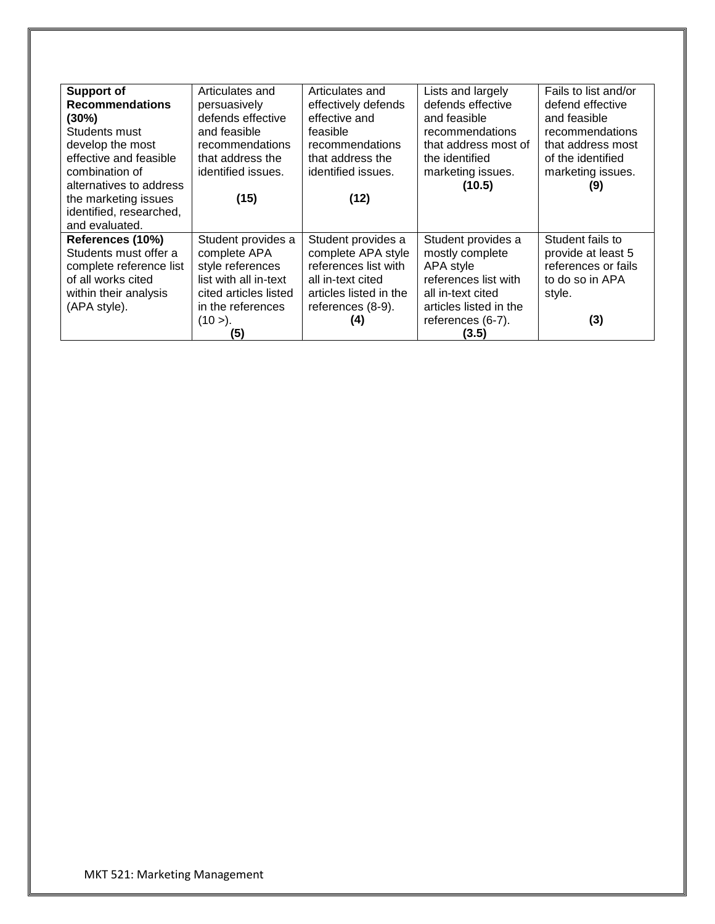| <b>Support of</b>       | Articulates and       | Articulates and        | Lists and largely      | Fails to list and/or |
|-------------------------|-----------------------|------------------------|------------------------|----------------------|
| <b>Recommendations</b>  | persuasively          | effectively defends    | defends effective      | defend effective     |
| (30%)                   | defends effective     | effective and          | and feasible           | and feasible         |
| Students must           | and feasible          | feasible               | recommendations        | recommendations      |
| develop the most        | recommendations       | recommendations        | that address most of   | that address most    |
| effective and feasible  | that address the      | that address the       | the identified         | of the identified    |
| combination of          | identified issues.    | identified issues.     | marketing issues.      | marketing issues.    |
| alternatives to address |                       |                        | (10.5)                 | (9)                  |
| the marketing issues    | (15)                  | (12)                   |                        |                      |
| identified, researched, |                       |                        |                        |                      |
| and evaluated.          |                       |                        |                        |                      |
| References (10%)        | Student provides a    | Student provides a     | Student provides a     | Student fails to     |
| Students must offer a   | complete APA          | complete APA style     | mostly complete        | provide at least 5   |
| complete reference list | style references      | references list with   | APA style              | references or fails  |
| of all works cited      | list with all in-text | all in-text cited      | references list with   | to do so in APA      |
| within their analysis   | cited articles listed | articles listed in the | all in-text cited      | style.               |
| (APA style).            | in the references     | references (8-9).      | articles listed in the |                      |
|                         | (10 >).               | (4)                    | references (6-7).      | (3)                  |
|                         | (5)                   |                        | (3.5)                  |                      |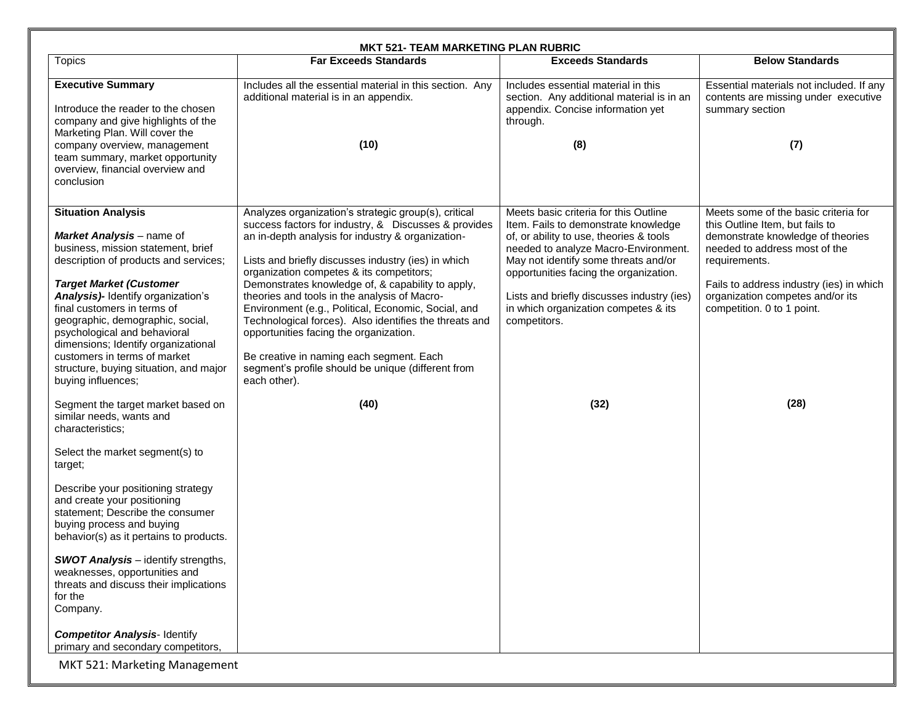| <b>MKT 521- TEAM MARKETING PLAN RUBRIC</b>                                                                                                                                                                                                                                                                                                                                                                                                                                                                                                                                                                                                                                                                                                                                                                                                                                                                                                                                                                |                                                                                                                                                                                                                                                                                                                                                                                                                                                                                                                                                                                                                                                                |                                                                                                                                                                                                                                                                                                                                                                  |                                                                                                                                                                                                                                                                                      |  |  |
|-----------------------------------------------------------------------------------------------------------------------------------------------------------------------------------------------------------------------------------------------------------------------------------------------------------------------------------------------------------------------------------------------------------------------------------------------------------------------------------------------------------------------------------------------------------------------------------------------------------------------------------------------------------------------------------------------------------------------------------------------------------------------------------------------------------------------------------------------------------------------------------------------------------------------------------------------------------------------------------------------------------|----------------------------------------------------------------------------------------------------------------------------------------------------------------------------------------------------------------------------------------------------------------------------------------------------------------------------------------------------------------------------------------------------------------------------------------------------------------------------------------------------------------------------------------------------------------------------------------------------------------------------------------------------------------|------------------------------------------------------------------------------------------------------------------------------------------------------------------------------------------------------------------------------------------------------------------------------------------------------------------------------------------------------------------|--------------------------------------------------------------------------------------------------------------------------------------------------------------------------------------------------------------------------------------------------------------------------------------|--|--|
| <b>Topics</b>                                                                                                                                                                                                                                                                                                                                                                                                                                                                                                                                                                                                                                                                                                                                                                                                                                                                                                                                                                                             | <b>Far Exceeds Standards</b>                                                                                                                                                                                                                                                                                                                                                                                                                                                                                                                                                                                                                                   | <b>Exceeds Standards</b>                                                                                                                                                                                                                                                                                                                                         | <b>Below Standards</b>                                                                                                                                                                                                                                                               |  |  |
| <b>Executive Summary</b><br>Introduce the reader to the chosen<br>company and give highlights of the<br>Marketing Plan. Will cover the<br>company overview, management<br>team summary, market opportunity<br>overview, financial overview and<br>conclusion                                                                                                                                                                                                                                                                                                                                                                                                                                                                                                                                                                                                                                                                                                                                              | Includes all the essential material in this section. Any<br>additional material is in an appendix.<br>(10)                                                                                                                                                                                                                                                                                                                                                                                                                                                                                                                                                     | Includes essential material in this<br>section. Any additional material is in an<br>appendix. Concise information yet<br>through.<br>(8)                                                                                                                                                                                                                         | Essential materials not included. If any<br>contents are missing under executive<br>summary section<br>(7)                                                                                                                                                                           |  |  |
| <b>Situation Analysis</b><br>Market Analysis - name of<br>business, mission statement, brief<br>description of products and services;<br><b>Target Market (Customer</b><br>Analysis)- Identify organization's<br>final customers in terms of<br>geographic, demographic, social,<br>psychological and behavioral<br>dimensions; Identify organizational<br>customers in terms of market<br>structure, buying situation, and major<br>buying influences;<br>Segment the target market based on<br>similar needs, wants and<br>characteristics;<br>Select the market segment(s) to<br>target;<br>Describe your positioning strategy<br>and create your positioning<br>statement; Describe the consumer<br>buying process and buying<br>behavior(s) as it pertains to products.<br><b>SWOT Analysis</b> - identify strengths,<br>weaknesses, opportunities and<br>threats and discuss their implications<br>for the<br>Company.<br><b>Competitor Analysis-Identify</b><br>primary and secondary competitors, | Analyzes organization's strategic group(s), critical<br>success factors for industry, & Discusses & provides<br>an in-depth analysis for industry & organization-<br>Lists and briefly discusses industry (ies) in which<br>organization competes & its competitors;<br>Demonstrates knowledge of, & capability to apply,<br>theories and tools in the analysis of Macro-<br>Environment (e.g., Political, Economic, Social, and<br>Technological forces). Also identifies the threats and<br>opportunities facing the organization.<br>Be creative in naming each segment. Each<br>segment's profile should be unique (different from<br>each other).<br>(40) | Meets basic criteria for this Outline<br>Item. Fails to demonstrate knowledge<br>of, or ability to use, theories & tools<br>needed to analyze Macro-Environment.<br>May not identify some threats and/or<br>opportunities facing the organization.<br>Lists and briefly discusses industry (ies)<br>in which organization competes & its<br>competitors.<br>(32) | Meets some of the basic criteria for<br>this Outline Item, but fails to<br>demonstrate knowledge of theories<br>needed to address most of the<br>requirements.<br>Fails to address industry (ies) in which<br>organization competes and/or its<br>competition. 0 to 1 point.<br>(28) |  |  |
| MKT 521: Marketing Management                                                                                                                                                                                                                                                                                                                                                                                                                                                                                                                                                                                                                                                                                                                                                                                                                                                                                                                                                                             |                                                                                                                                                                                                                                                                                                                                                                                                                                                                                                                                                                                                                                                                |                                                                                                                                                                                                                                                                                                                                                                  |                                                                                                                                                                                                                                                                                      |  |  |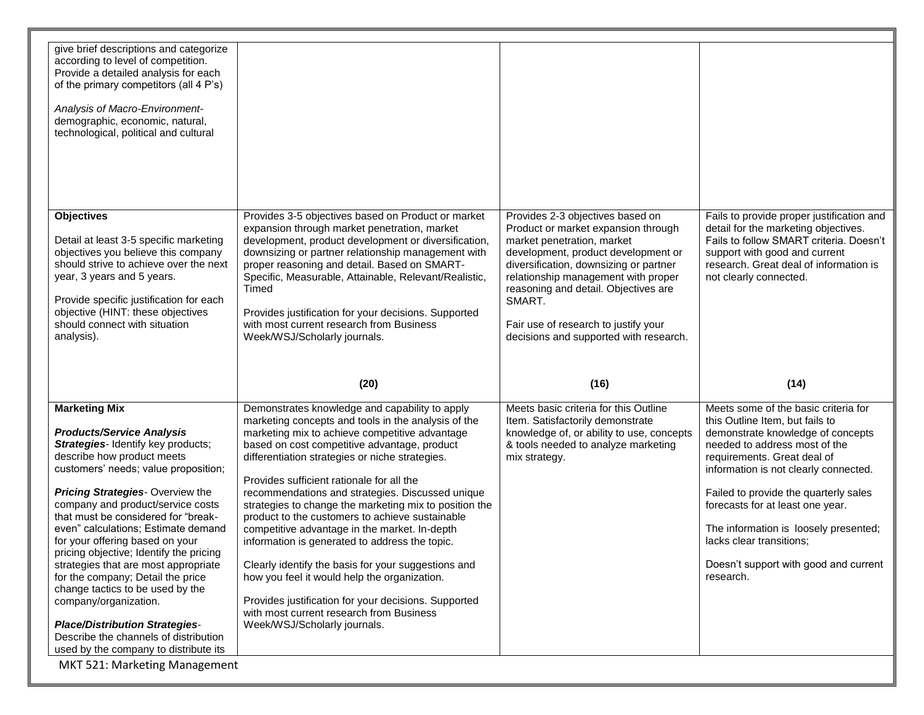| give brief descriptions and categorize<br>according to level of competition.<br>Provide a detailed analysis for each<br>of the primary competitors (all 4 P's)<br>Analysis of Macro-Environment-<br>demographic, economic, natural,<br>technological, political and cultural                                                                                                                                                                                                                                                                                                                                                                                                                                         |                                                                                                                                                                                                                                                                                                                                                                                                                                                                                                                                                                                                                                                                                                                                                                                                                        |                                                                                                                                                                                                                                                                                                                                                                   |                                                                                                                                                                                                                                                                                                                                                                                                                               |
|----------------------------------------------------------------------------------------------------------------------------------------------------------------------------------------------------------------------------------------------------------------------------------------------------------------------------------------------------------------------------------------------------------------------------------------------------------------------------------------------------------------------------------------------------------------------------------------------------------------------------------------------------------------------------------------------------------------------|------------------------------------------------------------------------------------------------------------------------------------------------------------------------------------------------------------------------------------------------------------------------------------------------------------------------------------------------------------------------------------------------------------------------------------------------------------------------------------------------------------------------------------------------------------------------------------------------------------------------------------------------------------------------------------------------------------------------------------------------------------------------------------------------------------------------|-------------------------------------------------------------------------------------------------------------------------------------------------------------------------------------------------------------------------------------------------------------------------------------------------------------------------------------------------------------------|-------------------------------------------------------------------------------------------------------------------------------------------------------------------------------------------------------------------------------------------------------------------------------------------------------------------------------------------------------------------------------------------------------------------------------|
|                                                                                                                                                                                                                                                                                                                                                                                                                                                                                                                                                                                                                                                                                                                      |                                                                                                                                                                                                                                                                                                                                                                                                                                                                                                                                                                                                                                                                                                                                                                                                                        |                                                                                                                                                                                                                                                                                                                                                                   |                                                                                                                                                                                                                                                                                                                                                                                                                               |
| <b>Objectives</b><br>Detail at least 3-5 specific marketing<br>objectives you believe this company<br>should strive to achieve over the next<br>year, 3 years and 5 years.<br>Provide specific justification for each<br>objective (HINT: these objectives<br>should connect with situation<br>analysis).                                                                                                                                                                                                                                                                                                                                                                                                            | Provides 3-5 objectives based on Product or market<br>expansion through market penetration, market<br>development, product development or diversification,<br>downsizing or partner relationship management with<br>proper reasoning and detail. Based on SMART-<br>Specific, Measurable, Attainable, Relevant/Realistic,<br>Timed<br>Provides justification for your decisions. Supported<br>with most current research from Business<br>Week/WSJ/Scholarly journals.                                                                                                                                                                                                                                                                                                                                                 | Provides 2-3 objectives based on<br>Product or market expansion through<br>market penetration, market<br>development, product development or<br>diversification, downsizing or partner<br>relationship management with proper<br>reasoning and detail. Objectives are<br>SMART.<br>Fair use of research to justify your<br>decisions and supported with research. | Fails to provide proper justification and<br>detail for the marketing objectives.<br>Fails to follow SMART criteria. Doesn't<br>support with good and current<br>research. Great deal of information is<br>not clearly connected.                                                                                                                                                                                             |
|                                                                                                                                                                                                                                                                                                                                                                                                                                                                                                                                                                                                                                                                                                                      |                                                                                                                                                                                                                                                                                                                                                                                                                                                                                                                                                                                                                                                                                                                                                                                                                        |                                                                                                                                                                                                                                                                                                                                                                   |                                                                                                                                                                                                                                                                                                                                                                                                                               |
|                                                                                                                                                                                                                                                                                                                                                                                                                                                                                                                                                                                                                                                                                                                      | (20)                                                                                                                                                                                                                                                                                                                                                                                                                                                                                                                                                                                                                                                                                                                                                                                                                   | (16)                                                                                                                                                                                                                                                                                                                                                              | (14)                                                                                                                                                                                                                                                                                                                                                                                                                          |
| <b>Marketing Mix</b><br><b>Products/Service Analysis</b><br>Strategies-Identify key products;<br>describe how product meets<br>customers' needs; value proposition;<br><b>Pricing Strategies-Overview the</b><br>company and product/service costs<br>that must be considered for "break-<br>even" calculations; Estimate demand<br>for your offering based on your<br>pricing objective; Identify the pricing<br>strategies that are most appropriate<br>for the company; Detail the price<br>change tactics to be used by the<br>company/organization.<br><b>Place/Distribution Strategies-</b><br>Describe the channels of distribution<br>used by the company to distribute its<br>MKT 521: Marketing Management | Demonstrates knowledge and capability to apply<br>marketing concepts and tools in the analysis of the<br>marketing mix to achieve competitive advantage<br>based on cost competitive advantage, product<br>differentiation strategies or niche strategies.<br>Provides sufficient rationale for all the<br>recommendations and strategies. Discussed unique<br>strategies to change the marketing mix to position the<br>product to the customers to achieve sustainable<br>competitive advantage in the market. In-depth<br>information is generated to address the topic.<br>Clearly identify the basis for your suggestions and<br>how you feel it would help the organization.<br>Provides justification for your decisions. Supported<br>with most current research from Business<br>Week/WSJ/Scholarly journals. | Meets basic criteria for this Outline<br>Item. Satisfactorily demonstrate<br>knowledge of, or ability to use, concepts<br>& tools needed to analyze marketing<br>mix strategy.                                                                                                                                                                                    | Meets some of the basic criteria for<br>this Outline Item, but fails to<br>demonstrate knowledge of concepts<br>needed to address most of the<br>requirements. Great deal of<br>information is not clearly connected.<br>Failed to provide the quarterly sales<br>forecasts for at least one year.<br>The information is loosely presented;<br>lacks clear transitions;<br>Doesn't support with good and current<br>research. |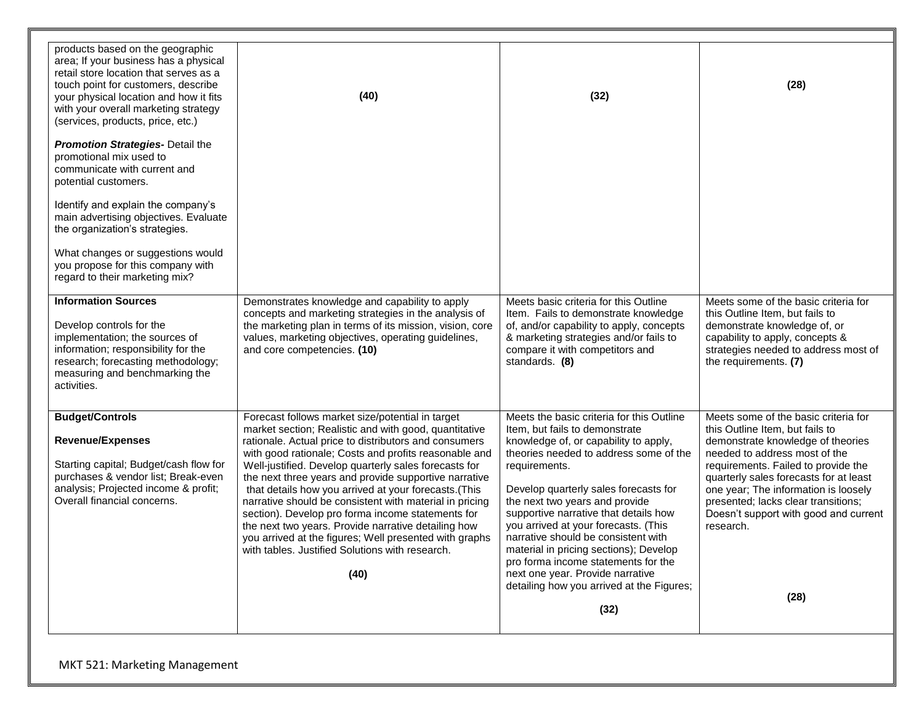| products based on the geographic<br>area; If your business has a physical<br>retail store location that serves as a<br>touch point for customers, describe<br>your physical location and how it fits<br>with your overall marketing strategy<br>(services, products, price, etc.) | (40)                                                                                                                                                                                                                                                                                                                                                                                                                                                                                                                                                                                                                                                                                      | (32)                                                                                                                                                                                                                                                                                                                                                                                                                                                                                                    | (28)                                                                                                                                                                                                                                                                                                                                                                |
|-----------------------------------------------------------------------------------------------------------------------------------------------------------------------------------------------------------------------------------------------------------------------------------|-------------------------------------------------------------------------------------------------------------------------------------------------------------------------------------------------------------------------------------------------------------------------------------------------------------------------------------------------------------------------------------------------------------------------------------------------------------------------------------------------------------------------------------------------------------------------------------------------------------------------------------------------------------------------------------------|---------------------------------------------------------------------------------------------------------------------------------------------------------------------------------------------------------------------------------------------------------------------------------------------------------------------------------------------------------------------------------------------------------------------------------------------------------------------------------------------------------|---------------------------------------------------------------------------------------------------------------------------------------------------------------------------------------------------------------------------------------------------------------------------------------------------------------------------------------------------------------------|
| <b>Promotion Strategies- Detail the</b><br>promotional mix used to<br>communicate with current and<br>potential customers.<br>Identify and explain the company's<br>main advertising objectives. Evaluate                                                                         |                                                                                                                                                                                                                                                                                                                                                                                                                                                                                                                                                                                                                                                                                           |                                                                                                                                                                                                                                                                                                                                                                                                                                                                                                         |                                                                                                                                                                                                                                                                                                                                                                     |
| the organization's strategies.<br>What changes or suggestions would<br>you propose for this company with<br>regard to their marketing mix?                                                                                                                                        |                                                                                                                                                                                                                                                                                                                                                                                                                                                                                                                                                                                                                                                                                           |                                                                                                                                                                                                                                                                                                                                                                                                                                                                                                         |                                                                                                                                                                                                                                                                                                                                                                     |
| <b>Information Sources</b><br>Develop controls for the<br>implementation; the sources of<br>information; responsibility for the<br>research; forecasting methodology;<br>measuring and benchmarking the<br>activities.                                                            | Demonstrates knowledge and capability to apply<br>concepts and marketing strategies in the analysis of<br>the marketing plan in terms of its mission, vision, core<br>values, marketing objectives, operating guidelines,<br>and core competencies. (10)                                                                                                                                                                                                                                                                                                                                                                                                                                  | Meets basic criteria for this Outline<br>Item. Fails to demonstrate knowledge<br>of, and/or capability to apply, concepts<br>& marketing strategies and/or fails to<br>compare it with competitors and<br>standards. (8)                                                                                                                                                                                                                                                                                | Meets some of the basic criteria for<br>this Outline Item, but fails to<br>demonstrate knowledge of, or<br>capability to apply, concepts &<br>strategies needed to address most of<br>the requirements. (7)                                                                                                                                                         |
| <b>Budget/Controls</b><br><b>Revenue/Expenses</b><br>Starting capital; Budget/cash flow for<br>purchases & vendor list; Break-even<br>analysis; Projected income & profit;<br>Overall financial concerns.                                                                         | Forecast follows market size/potential in target<br>market section; Realistic and with good, quantitative<br>rationale. Actual price to distributors and consumers<br>with good rationale; Costs and profits reasonable and<br>Well-justified. Develop quarterly sales forecasts for<br>the next three years and provide supportive narrative<br>that details how you arrived at your forecasts.(This<br>narrative should be consistent with material in pricing<br>section). Develop pro forma income statements for<br>the next two years. Provide narrative detailing how<br>you arrived at the figures; Well presented with graphs<br>with tables. Justified Solutions with research. | Meets the basic criteria for this Outline<br>Item, but fails to demonstrate<br>knowledge of, or capability to apply,<br>theories needed to address some of the<br>requirements.<br>Develop quarterly sales forecasts for<br>the next two years and provide<br>supportive narrative that details how<br>you arrived at your forecasts. (This<br>narrative should be consistent with<br>material in pricing sections); Develop<br>pro forma income statements for the<br>next one year. Provide narrative | Meets some of the basic criteria for<br>this Outline Item, but fails to<br>demonstrate knowledge of theories<br>needed to address most of the<br>requirements. Failed to provide the<br>quarterly sales forecasts for at least<br>one year; The information is loosely<br>presented; lacks clear transitions;<br>Doesn't support with good and current<br>research. |
|                                                                                                                                                                                                                                                                                   | (40)                                                                                                                                                                                                                                                                                                                                                                                                                                                                                                                                                                                                                                                                                      | detailing how you arrived at the Figures;<br>(32)                                                                                                                                                                                                                                                                                                                                                                                                                                                       | (28)                                                                                                                                                                                                                                                                                                                                                                |

٦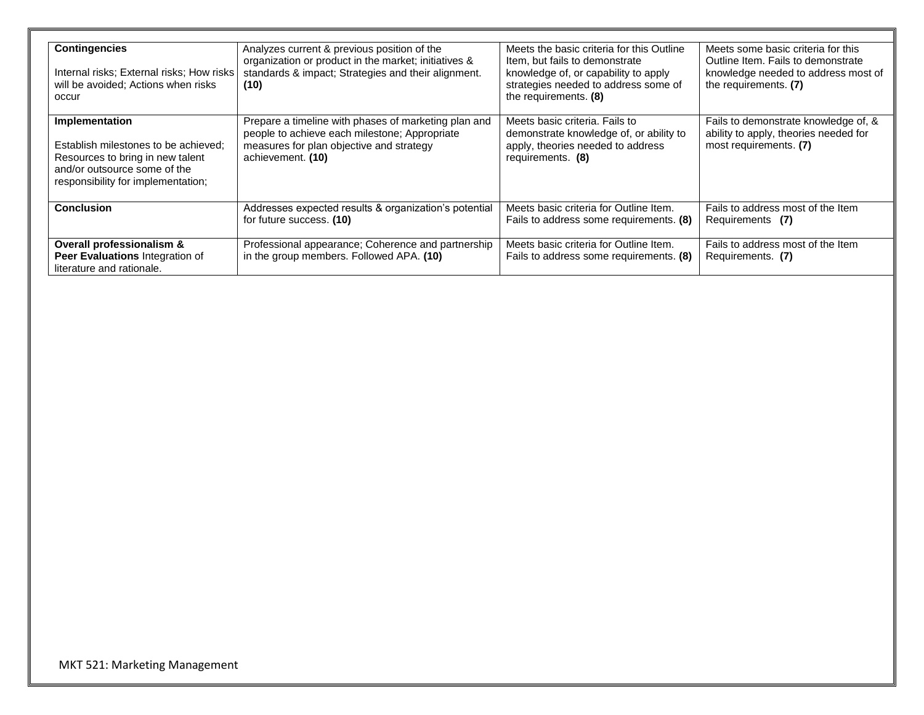| <b>Contingencies</b><br>Internal risks; External risks; How risks<br>will be avoided; Actions when risks<br>occur                                                | Analyzes current & previous position of the<br>organization or product in the market; initiatives &<br>standards & impact; Strategies and their alignment.<br>(10)     | Meets the basic criteria for this Outline<br>Item, but fails to demonstrate<br>knowledge of, or capability to apply<br>strategies needed to address some of<br>the requirements. (8) | Meets some basic criteria for this<br>Outline Item. Fails to demonstrate<br>knowledge needed to address most of<br>the requirements. (7) |
|------------------------------------------------------------------------------------------------------------------------------------------------------------------|------------------------------------------------------------------------------------------------------------------------------------------------------------------------|--------------------------------------------------------------------------------------------------------------------------------------------------------------------------------------|------------------------------------------------------------------------------------------------------------------------------------------|
| Implementation<br>Establish milestones to be achieved:<br>Resources to bring in new talent<br>and/or outsource some of the<br>responsibility for implementation; | Prepare a timeline with phases of marketing plan and<br>people to achieve each milestone; Appropriate<br>measures for plan objective and strategy<br>achievement. (10) | Meets basic criteria. Fails to<br>demonstrate knowledge of, or ability to<br>apply, theories needed to address<br>requirements. (8)                                                  | Fails to demonstrate knowledge of, &<br>ability to apply, theories needed for<br>most requirements. (7)                                  |
| <b>Conclusion</b>                                                                                                                                                | Addresses expected results & organization's potential<br>for future success. (10)                                                                                      | Meets basic criteria for Outline Item.<br>Fails to address some requirements. (8)                                                                                                    | Fails to address most of the Item<br>Requirements (7)                                                                                    |
| Overall professionalism &<br>Peer Evaluations Integration of<br>literature and rationale.                                                                        | Professional appearance; Coherence and partnership<br>in the group members. Followed APA. (10)                                                                         | Meets basic criteria for Outline Item.<br>Fails to address some requirements. (8)                                                                                                    | Fails to address most of the Item<br>Requirements. (7)                                                                                   |

٦